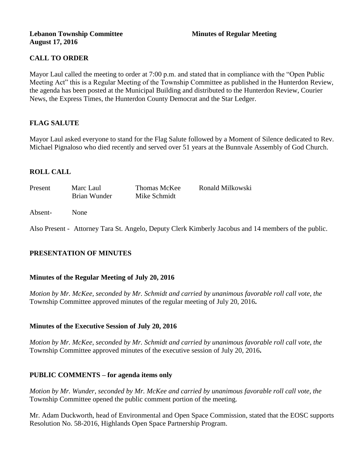## **Lebanon Township Committee 3 2008 Minutes of Regular Meeting August 17, 2016**

# **CALL TO ORDER**

Mayor Laul called the meeting to order at 7:00 p.m. and stated that in compliance with the "Open Public Meeting Act" this is a Regular Meeting of the Township Committee as published in the Hunterdon Review, the agenda has been posted at the Municipal Building and distributed to the Hunterdon Review, Courier News, the Express Times, the Hunterdon County Democrat and the Star Ledger.

# **FLAG SALUTE**

Mayor Laul asked everyone to stand for the Flag Salute followed by a Moment of Silence dedicated to Rev. Michael Pignaloso who died recently and served over 51 years at the Bunnvale Assembly of God Church.

## **ROLL CALL**

| Present | Marc Laul    | Thomas McKee | Ronald Milkowski |
|---------|--------------|--------------|------------------|
|         | Brian Wunder | Mike Schmidt |                  |
|         |              |              |                  |

## Absent- None

Also Present - Attorney Tara St. Angelo, Deputy Clerk Kimberly Jacobus and 14 members of the public.

# **PRESENTATION OF MINUTES**

### **Minutes of the Regular Meeting of July 20, 2016**

*Motion by Mr. McKee, seconded by Mr. Schmidt and carried by unanimous favorable roll call vote, the*  Township Committee approved minutes of the regular meeting of July 20, 2016**.** 

### **Minutes of the Executive Session of July 20, 2016**

*Motion by Mr. McKee, seconded by Mr. Schmidt and carried by unanimous favorable roll call vote, the*  Township Committee approved minutes of the executive session of July 20, 2016**.** 

# **PUBLIC COMMENTS – for agenda items only**

*Motion by Mr. Wunder, seconded by Mr. McKee and carried by unanimous favorable roll call vote, the*  Township Committee opened the public comment portion of the meeting.

Mr. Adam Duckworth, head of Environmental and Open Space Commission, stated that the EOSC supports Resolution No. 58-2016, Highlands Open Space Partnership Program.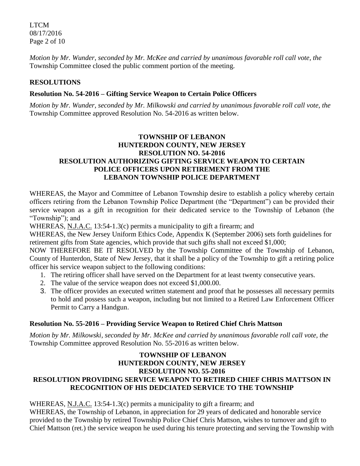LTCM 08/17/2016 Page 2 of 10

*Motion by Mr. Wunder, seconded by Mr. McKee and carried by unanimous favorable roll call vote, the*  Township Committee closed the public comment portion of the meeting.

# **RESOLUTIONS**

## **Resolution No. 54-2016 – Gifting Service Weapon to Certain Police Officers**

*Motion by Mr. Wunder, seconded by Mr. Milkowski and carried by unanimous favorable roll call vote, the* Township Committee approved Resolution No. 54-2016 as written below.

# **TOWNSHIP OF LEBANON HUNTERDON COUNTY, NEW JERSEY RESOLUTION NO. 54-2016 RESOLUTION AUTHORIZING GIFTING SERVICE WEAPON TO CERTAIN POLICE OFFICERS UPON RETIREMENT FROM THE LEBANON TOWNSHIP POLICE DEPARTMENT**

WHEREAS, the Mayor and Committee of Lebanon Township desire to establish a policy whereby certain officers retiring from the Lebanon Township Police Department (the "Department") can be provided their service weapon as a gift in recognition for their dedicated service to the Township of Lebanon (the "Township"); and

WHEREAS, N.J.A.C. 13:54-1.3(c) permits a municipality to gift a firearm; and

WHEREAS, the New Jersey Uniform Ethics Code, Appendix K (September 2006) sets forth guidelines for retirement gifts from State agencies, which provide that such gifts shall not exceed \$1,000;

NOW THEREFORE BE IT RESOLVED by the Township Committee of the Township of Lebanon, County of Hunterdon, State of New Jersey, that it shall be a policy of the Township to gift a retiring police officer his service weapon subject to the following conditions:

- 1. The retiring officer shall have served on the Department for at least twenty consecutive years.
- 2. The value of the service weapon does not exceed \$1,000.00.
- 3. The officer provides an executed written statement and proof that he possesses all necessary permits to hold and possess such a weapon, including but not limited to a Retired Law Enforcement Officer Permit to Carry a Handgun.

# **Resolution No. 55-2016 – Providing Service Weapon to Retired Chief Chris Mattson**

*Motion by Mr. Milkowski, seconded by Mr. McKee and carried by unanimous favorable roll call vote, the* Township Committee approved Resolution No. 55-2016 as written below.

# **TOWNSHIP OF LEBANON HUNTERDON COUNTY, NEW JERSEY RESOLUTION NO. 55-2016 RESOLUTION PROVIDING SERVICE WEAPON TO RETIRED CHIEF CHRIS MATTSON IN RECOGNITION OF HIS DEDCIATED SERVICE TO THE TOWNSHIP**

WHEREAS, N.J.A.C. 13:54-1.3(c) permits a municipality to gift a firearm; and

WHEREAS, the Township of Lebanon, in appreciation for 29 years of dedicated and honorable service provided to the Township by retired Township Police Chief Chris Mattson, wishes to turnover and gift to Chief Mattson (ret.) the service weapon he used during his tenure protecting and serving the Township with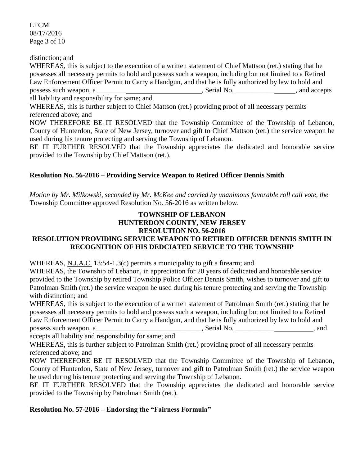LTCM 08/17/2016 Page 3 of 10

distinction; and

WHEREAS, this is subject to the execution of a written statement of Chief Mattson (ret.) stating that he possesses all necessary permits to hold and possess such a weapon, including but not limited to a Retired Law Enforcement Officer Permit to Carry a Handgun, and that he is fully authorized by law to hold and possess such weapon, a \_\_\_\_\_\_\_\_ , Serial No. \_\_\_\_\_\_\_\_\_\_\_ , and accepts all liability and responsibility for same; and

WHEREAS, this is further subject to Chief Mattson (ret.) providing proof of all necessary permits referenced above; and

NOW THEREFORE BE IT RESOLVED that the Township Committee of the Township of Lebanon, County of Hunterdon, State of New Jersey, turnover and gift to Chief Mattson (ret.) the service weapon he used during his tenure protecting and serving the Township of Lebanon.

BE IT FURTHER RESOLVED that the Township appreciates the dedicated and honorable service provided to the Township by Chief Mattson (ret.).

# **Resolution No. 56-2016 – Providing Service Weapon to Retired Officer Dennis Smith**

*Motion by Mr. Milkowski, seconded by Mr. McKee and carried by unanimous favorable roll call vote, the* Township Committee approved Resolution No. 56-2016 as written below.

# **TOWNSHIP OF LEBANON HUNTERDON COUNTY, NEW JERSEY RESOLUTION NO. 56-2016**

# **RESOLUTION PROVIDING SERVICE WEAPON TO RETIRED OFFICER DENNIS SMITH IN RECOGNITION OF HIS DEDCIATED SERVICE TO THE TOWNSHIP**

WHEREAS, N.J.A.C. 13:54-1.3(c) permits a municipality to gift a firearm; and

WHEREAS, the Township of Lebanon, in appreciation for 20 years of dedicated and honorable service provided to the Township by retired Township Police Officer Dennis Smith, wishes to turnover and gift to Patrolman Smith (ret.) the service weapon he used during his tenure protecting and serving the Township with distinction; and

WHEREAS, this is subject to the execution of a written statement of Patrolman Smith (ret.) stating that he possesses all necessary permits to hold and possess such a weapon, including but not limited to a Retired Law Enforcement Officer Permit to Carry a Handgun, and that he is fully authorized by law to hold and possess such weapon, a\_\_\_\_\_\_\_\_\_\_\_\_\_\_\_\_\_\_\_\_\_\_\_\_\_\_\_\_\_\_, Serial No. \_\_\_\_\_\_\_\_\_\_\_\_\_\_\_\_\_\_\_\_\_\_, and

accepts all liability and responsibility for same; and

WHEREAS, this is further subject to Patrolman Smith (ret.) providing proof of all necessary permits referenced above; and

NOW THEREFORE BE IT RESOLVED that the Township Committee of the Township of Lebanon, County of Hunterdon, State of New Jersey, turnover and gift to Patrolman Smith (ret.) the service weapon he used during his tenure protecting and serving the Township of Lebanon.

BE IT FURTHER RESOLVED that the Township appreciates the dedicated and honorable service provided to the Township by Patrolman Smith (ret.).

# **Resolution No. 57-2016 – Endorsing the "Fairness Formula"**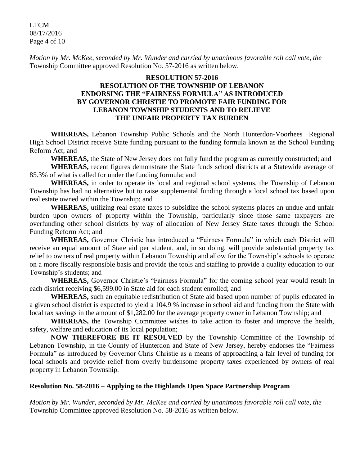LTCM 08/17/2016 Page 4 of 10

*Motion by Mr. McKee, seconded by Mr. Wunder and carried by unanimous favorable roll call vote, the* Township Committee approved Resolution No. 57-2016 as written below.

## **RESOLUTION 57-2016 RESOLUTION OF THE TOWNSHIP OF LEBANON ENDORSING THE "FAIRNESS FORMULA" AS INTRODUCED BY GOVERNOR CHRISTIE TO PROMOTE FAIR FUNDING FOR LEBANON TOWNSHIP STUDENTS AND TO RELIEVE THE UNFAIR PROPERTY TAX BURDEN**

**WHEREAS,** Lebanon Township Public Schools and the North Hunterdon-Voorhees Regional High School District receive State funding pursuant to the funding formula known as the School Funding Reform Act; and

**WHEREAS,** the State of New Jersey does not fully fund the program as currently constructed; and

**WHEREAS,** recent figures demonstrate the State funds school districts at a Statewide average of 85.3% of what is called for under the funding formula; and

**WHEREAS,** in order to operate its local and regional school systems, the Township of Lebanon Township has had no alternative but to raise supplemental funding through a local school tax based upon real estate owned within the Township; and

**WHEREAS,** utilizing real estate taxes to subsidize the school systems places an undue and unfair burden upon owners of property within the Township, particularly since those same taxpayers are overfunding other school districts by way of allocation of New Jersey State taxes through the School Funding Reform Act; and

**WHEREAS,** Governor Christie has introduced a "Fairness Formula" in which each District will receive an equal amount of State aid per student, and, in so doing, will provide substantial property tax relief to owners of real property within Lebanon Township and allow for the Township's schools to operate on a more fiscally responsible basis and provide the tools and staffing to provide a quality education to our Township's students; and

**WHEREAS,** Governor Christie's "Fairness Formula" for the coming school year would result in each district receiving \$6,599.00 in State aid for each student enrolled; and

**WHEREAS,** such an equitable redistribution of State aid based upon number of pupils educated in a given school district is expected to yield a 104.9 % increase in school aid and funding from the State with local tax savings in the amount of \$1,282.00 for the average property owner in Lebanon Township; and

**WHEREAS,** the Township Committee wishes to take action to foster and improve the health, safety, welfare and education of its local population;

**NOW THEREFORE BE IT RESOLVED** by the Township Committee of the Township of Lebanon Township, in the County of Hunterdon and State of New Jersey, hereby endorses the "Fairness Formula" as introduced by Governor Chris Christie as a means of approaching a fair level of funding for local schools and provide relief from overly burdensome property taxes experienced by owners of real property in Lebanon Township.

# **Resolution No. 58-2016 – Applying to the Highlands Open Space Partnership Program**

*Motion by Mr. Wunder, seconded by Mr. McKee and carried by unanimous favorable roll call vote, the* Township Committee approved Resolution No. 58-2016 as written below.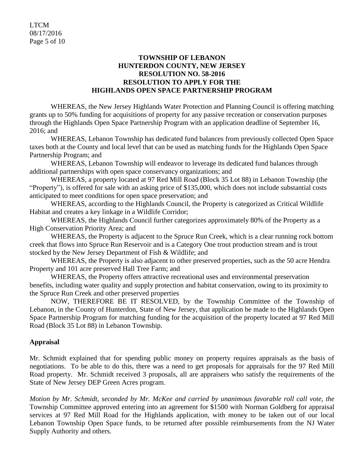## **TOWNSHIP OF LEBANON HUNTERDON COUNTY, NEW JERSEY RESOLUTION NO. 58-2016 RESOLUTION TO APPLY FOR THE HIGHLANDS OPEN SPACE PARTNERSHIP PROGRAM**

WHEREAS, the New Jersey Highlands Water Protection and Planning Council is offering matching grants up to 50% funding for acquisitions of property for any passive recreation or conservation purposes through the Highlands Open Space Partnership Program with an application deadline of September 16, 2016; and

WHEREAS, Lebanon Township has dedicated fund balances from previously collected Open Space taxes both at the County and local level that can be used as matching funds for the Highlands Open Space Partnership Program; and

WHEREAS, Lebanon Township will endeavor to leverage its dedicated fund balances through additional partnerships with open space conservancy organizations; and

WHEREAS, a property located at 97 Red Mill Road (Block 35 Lot 88) in Lebanon Township (the "Property"), is offered for sale with an asking price of \$135,000, which does not include substantial costs anticipated to meet conditions for open space preservation; and

WHEREAS, according to the Highlands Council, the Property is categorized as Critical Wildlife Habitat and creates a key linkage in a Wildlife Corridor;

WHEREAS, the Highlands Council further categorizes approximately 80% of the Property as a High Conservation Priority Area; and

WHEREAS, the Property is adjacent to the Spruce Run Creek, which is a clear running rock bottom creek that flows into Spruce Run Reservoir and is a Category One trout production stream and is trout stocked by the New Jersey Department of Fish & Wildlife; and

WHEREAS, the Property is also adjacent to other preserved properties, such as the 50 acre Hendra Property and 101 acre preserved Hall Tree Farm; and

WHEREAS, the Property offers attractive recreational uses and environmental preservation benefits, including water quality and supply protection and habitat conservation, owing to its proximity to the Spruce Run Creek and other preserved properties

NOW, THEREFORE BE IT RESOLVED, by the Township Committee of the Township of Lebanon, in the County of Hunterdon, State of New Jersey, that application be made to the Highlands Open Space Partnership Program for matching funding for the acquisition of the property located at 97 Red Mill Road (Block 35 Lot 88) in Lebanon Township.

# **Appraisal**

Mr. Schmidt explained that for spending public money on property requires appraisals as the basis of negotiations. To be able to do this, there was a need to get proposals for appraisals for the 97 Red Mill Road property. Mr. Schmidt received 3 proposals, all are appraisers who satisfy the requirements of the State of New Jersey DEP Green Acres program.

*Motion by Mr. Schmidt, seconded by Mr. McKee and carried by unanimous favorable roll call vote, the* Township Committee approved entering into an agreement for \$1500 with Norman Goldberg for appraisal services at 97 Red Mill Road for the Highlands application, with money to be taken out of our local Lebanon Township Open Space funds, to be returned after possible reimbursements from the NJ Water Supply Authority and others.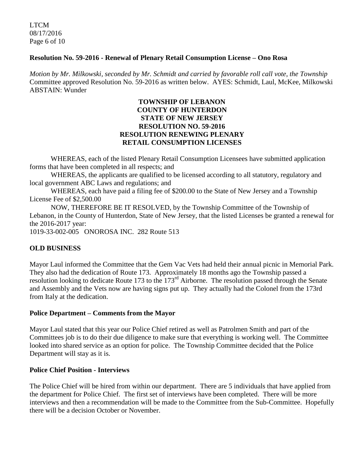LTCM 08/17/2016 Page 6 of 10

## **Resolution No. 59-2016 - Renewal of Plenary Retail Consumption License – Ono Rosa**

*Motion by Mr. Milkowski, seconded by Mr. Schmidt and carried by favorable roll call vote, the Township*  Committee approved Resolution No. 59-2016 as written below. AYES: Schmidt, Laul, McKee, Milkowski ABSTAIN: Wunder

## **TOWNSHIP OF LEBANON COUNTY OF HUNTERDON STATE OF NEW JERSEY RESOLUTION NO. 59-2016 RESOLUTION RENEWING PLENARY RETAIL CONSUMPTION LICENSES**

WHEREAS, each of the listed Plenary Retail Consumption Licensees have submitted application forms that have been completed in all respects; and

WHEREAS, the applicants are qualified to be licensed according to all statutory, regulatory and local government ABC Laws and regulations; and

WHEREAS, each have paid a filing fee of \$200.00 to the State of New Jersey and a Township License Fee of \$2,500.00

NOW, THEREFORE BE IT RESOLVED, by the Township Committee of the Township of Lebanon, in the County of Hunterdon, State of New Jersey, that the listed Licenses be granted a renewal for the 2016-2017 year:

1019-33-002-005 ONOROSA INC. 282 Route 513

# **OLD BUSINESS**

Mayor Laul informed the Committee that the Gem Vac Vets had held their annual picnic in Memorial Park. They also had the dedication of Route 173. Approximately 18 months ago the Township passed a resolution looking to dedicate Route 173 to the 173rd Airborne. The resolution passed through the Senate and Assembly and the Vets now are having signs put up. They actually had the Colonel from the 173rd from Italy at the dedication.

### **Police Department – Comments from the Mayor**

Mayor Laul stated that this year our Police Chief retired as well as Patrolmen Smith and part of the Committees job is to do their due diligence to make sure that everything is working well. The Committee looked into shared service as an option for police. The Township Committee decided that the Police Department will stay as it is.

## **Police Chief Position - Interviews**

The Police Chief will be hired from within our department.There are 5 individuals that have applied from the department for Police Chief. The first set of interviews have been completed. There will be more interviews and then a recommendation will be made to the Committee from the Sub-Committee. Hopefully there will be a decision October or November.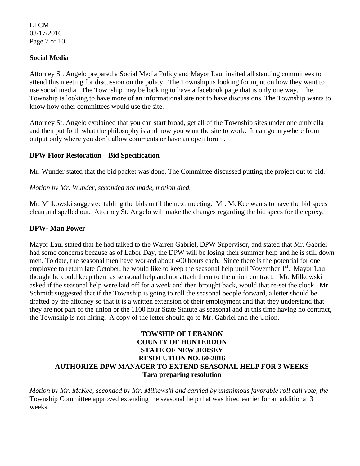LTCM 08/17/2016 Page 7 of 10

## **Social Media**

Attorney St. Angelo prepared a Social Media Policy and Mayor Laul invited all standing committees to attend this meeting for discussion on the policy. The Township is looking for input on how they want to use social media. The Township may be looking to have a facebook page that is only one way. The Township is looking to have more of an informational site not to have discussions. The Township wants to know how other committees would use the site.

Attorney St. Angelo explained that you can start broad, get all of the Township sites under one umbrella and then put forth what the philosophy is and how you want the site to work. It can go anywhere from output only where you don't allow comments or have an open forum.

## **DPW Floor Restoration – Bid Specification**

Mr. Wunder stated that the bid packet was done. The Committee discussed putting the project out to bid.

### *Motion by Mr. Wunder, seconded not made, motion died.*

Mr. Milkowski suggested tabling the bids until the next meeting. Mr. McKee wants to have the bid specs clean and spelled out. Attorney St. Angelo will make the changes regarding the bid specs for the epoxy.

## **DPW- Man Power**

Mayor Laul stated that he had talked to the Warren Gabriel, DPW Supervisor, and stated that Mr. Gabriel had some concerns because as of Labor Day, the DPW will be losing their summer help and he is still down men. To date, the seasonal men have worked about 400 hours each. Since there is the potential for one employee to return late October, he would like to keep the seasonal help until November 1<sup>st</sup>. Mayor Laul thought he could keep them as seasonal help and not attach them to the union contract. Mr. Milkowski asked if the seasonal help were laid off for a week and then brought back, would that re-set the clock. Mr. Schmidt suggested that if the Township is going to roll the seasonal people forward, a letter should be drafted by the attorney so that it is a written extension of their employment and that they understand that they are not part of the union or the 1100 hour State Statute as seasonal and at this time having no contract, the Township is not hiring. A copy of the letter should go to Mr. Gabriel and the Union.

# **TOWSHIP OF LEBANON COUNTY OF HUNTERDON STATE OF NEW JERSEY RESOLUTION NO. 60-2016 AUTHORIZE DPW MANAGER TO EXTEND SEASONAL HELP FOR 3 WEEKS Tara preparing resolution**

*Motion by Mr. McKee, seconded by Mr. Milkowski and carried by unanimous favorable roll call vote*, *the*  Township Committee approved extending the seasonal help that was hired earlier for an additional 3 weeks.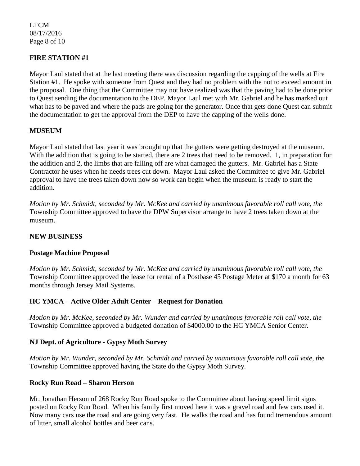LTCM 08/17/2016 Page 8 of 10

# **FIRE STATION #1**

Mayor Laul stated that at the last meeting there was discussion regarding the capping of the wells at Fire Station #1. He spoke with someone from Quest and they had no problem with the not to exceed amount in the proposal. One thing that the Committee may not have realized was that the paving had to be done prior to Quest sending the documentation to the DEP. Mayor Laul met with Mr. Gabriel and he has marked out what has to be paved and where the pads are going for the generator. Once that gets done Quest can submit the documentation to get the approval from the DEP to have the capping of the wells done.

## **MUSEUM**

Mayor Laul stated that last year it was brought up that the gutters were getting destroyed at the museum. With the addition that is going to be started, there are 2 trees that need to be removed. 1, in preparation for the addition and 2, the limbs that are falling off are what damaged the gutters. Mr. Gabriel has a State Contractor he uses when he needs trees cut down. Mayor Laul asked the Committee to give Mr. Gabriel approval to have the trees taken down now so work can begin when the museum is ready to start the addition.

*Motion by Mr. Schmidt, seconded by Mr. McKee and carried by unanimous favorable roll call vote*, *the*  Township Committee approved to have the DPW Supervisor arrange to have 2 trees taken down at the museum.

## **NEW BUSINESS**

### **Postage Machine Proposal**

*Motion by Mr. Schmidt, seconded by Mr. McKee and carried by unanimous favorable roll call vote*, *the*  Township Committee approved the lease for rental of a Postbase 45 Postage Meter at \$170 a month for 63 months through Jersey Mail Systems.

### **HC YMCA – Active Older Adult Center – Request for Donation**

*Motion by Mr. McKee, seconded by Mr. Wunder and carried by unanimous favorable roll call vote*, *the*  Township Committee approved a budgeted donation of \$4000.00 to the HC YMCA Senior Center.

### **NJ Dept. of Agriculture - Gypsy Moth Survey**

*Motion by Mr. Wunder, seconded by Mr. Schmidt and carried by unanimous favorable roll call vote*, *the*  Township Committee approved having the State do the Gypsy Moth Survey.

### **Rocky Run Road – Sharon Herson**

Mr. Jonathan Herson of 268 Rocky Run Road spoke to the Committee about having speed limit signs posted on Rocky Run Road. When his family first moved here it was a gravel road and few cars used it. Now many cars use the road and are going very fast. He walks the road and has found tremendous amount of litter, small alcohol bottles and beer cans.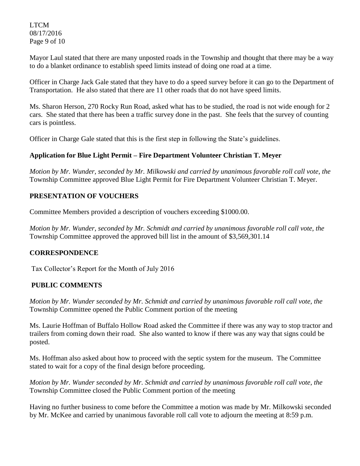LTCM 08/17/2016 Page 9 of 10

Mayor Laul stated that there are many unposted roads in the Township and thought that there may be a way to do a blanket ordinance to establish speed limits instead of doing one road at a time.

Officer in Charge Jack Gale stated that they have to do a speed survey before it can go to the Department of Transportation. He also stated that there are 11 other roads that do not have speed limits.

Ms. Sharon Herson, 270 Rocky Run Road, asked what has to be studied, the road is not wide enough for 2 cars. She stated that there has been a traffic survey done in the past. She feels that the survey of counting cars is pointless.

Officer in Charge Gale stated that this is the first step in following the State's guidelines.

# **Application for Blue Light Permit – Fire Department Volunteer Christian T. Meyer**

*Motion by Mr. Wunder, seconded by Mr. Milkowski and carried by unanimous favorable roll call vote*, *the*  Township Committee approved Blue Light Permit for Fire Department Volunteer Christian T. Meyer.

# **PRESENTATION OF VOUCHERS**

Committee Members provided a description of vouchers exceeding \$1000.00.

*Motion by Mr. Wunder, seconded by Mr. Schmidt and carried by unanimous favorable roll call vote*, *the*  Township Committee approved the approved bill list in the amount of \$3,569,301.14

# **CORRESPONDENCE**

Tax Collector's Report for the Month of July 2016

# **PUBLIC COMMENTS**

*Motion by Mr. Wunder seconded by Mr. Schmidt and carried by unanimous favorable roll call vote, the*  Township Committee opened the Public Comment portion of the meeting

Ms. Laurie Hoffman of Buffalo Hollow Road asked the Committee if there was any way to stop tractor and trailers from coming down their road. She also wanted to know if there was any way that signs could be posted.

Ms. Hoffman also asked about how to proceed with the septic system for the museum. The Committee stated to wait for a copy of the final design before proceeding.

*Motion by Mr. Wunder seconded by Mr. Schmidt and carried by unanimous favorable roll call vote*, *the*  Township Committee closed the Public Comment portion of the meeting

Having no further business to come before the Committee a motion was made by Mr. Milkowski seconded by Mr. McKee and carried by unanimous favorable roll call vote to adjourn the meeting at 8:59 p.m.